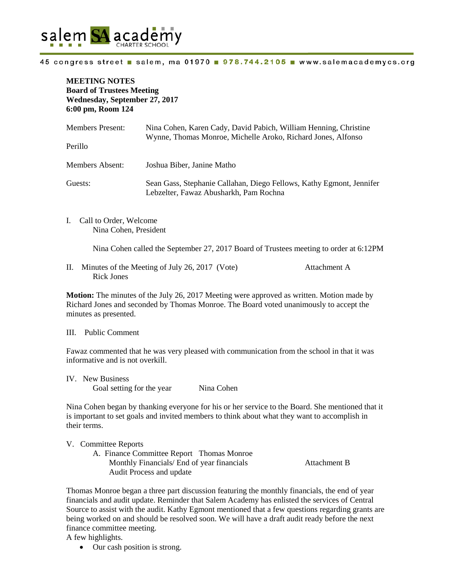

#### 45 congress street salem, ma 01970 978.744.2105 www.salemacademycs.org

**MEETING NOTES Board of Trustees Meeting Wednesday, September 27, 2017 6:00 pm, Room 124** 

| <b>Members Present:</b> | Nina Cohen, Karen Cady, David Pabich, William Henning, Christine<br>Wynne, Thomas Monroe, Michelle Aroko, Richard Jones, Alfonso |
|-------------------------|----------------------------------------------------------------------------------------------------------------------------------|
| Perillo                 |                                                                                                                                  |
| Members Absent:         | Joshua Biber, Janine Matho                                                                                                       |
| Guests:                 | Sean Gass, Stephanie Callahan, Diego Fellows, Kathy Egmont, Jennifer<br>Lebzelter, Fawaz Abusharkh, Pam Rochna                   |

I. Call to Order, Welcome Nina Cohen, President

Nina Cohen called the September 27, 2017 Board of Trustees meeting to order at 6:12PM

II. Minutes of the Meeting of July 26, 2017 (Vote) Attachment A Rick Jones

**Motion:** The minutes of the July 26, 2017 Meeting were approved as written. Motion made by Richard Jones and seconded by Thomas Monroe. The Board voted unanimously to accept the minutes as presented.

#### III. Public Comment

Fawaz commented that he was very pleased with communication from the school in that it was informative and is not overkill.

IV. New Business Goal setting for the year Nina Cohen

Nina Cohen began by thanking everyone for his or her service to the Board. She mentioned that it is important to set goals and invited members to think about what they want to accomplish in their terms.

# V. Committee Reports

A. Finance Committee Report Thomas Monroe Monthly Financials/ End of year financials Attachment B Audit Process and update

Thomas Monroe began a three part discussion featuring the monthly financials, the end of year financials and audit update. Reminder that Salem Academy has enlisted the services of Central Source to assist with the audit. Kathy Egmont mentioned that a few questions regarding grants are being worked on and should be resolved soon. We will have a draft audit ready before the next finance committee meeting.

A few highlights.

• Our cash position is strong.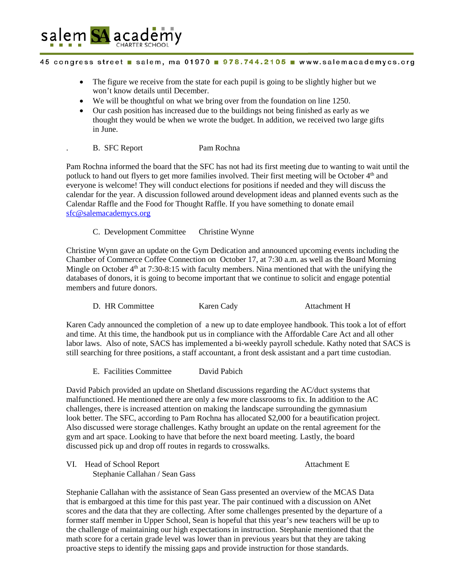

### 45 congress street salem, ma 01970 978.744.2105 www.salemacademycs.org

- The figure we receive from the state for each pupil is going to be slightly higher but we won't know details until December.
- We will be thoughtful on what we bring over from the foundation on line 1250.
- Our cash position has increased due to the buildings not being finished as early as we thought they would be when we wrote the budget. In addition, we received two large gifts in June.
	- B. SFC Report Pam Rochna

Pam Rochna informed the board that the SFC has not had its first meeting due to wanting to wait until the potluck to hand out flyers to get more families involved. Their first meeting will be October 4<sup>th</sup> and everyone is welcome! They will conduct elections for positions if needed and they will discuss the calendar for the year. A discussion followed around development ideas and planned events such as the Calendar Raffle and the Food for Thought Raffle. If you have something to donate email [sfc@salemacademycs.org](mailto:sfc@salemacademycs.org)

C. Development Committee Christine Wynne

Christine Wynn gave an update on the Gym Dedication and announced upcoming events including the Chamber of Commerce Coffee Connection on October 17, at 7:30 a.m. as well as the Board Morning Mingle on October  $4<sup>th</sup>$  at 7:30-8:15 with faculty members. Nina mentioned that with the unifying the databases of donors, it is going to become important that we continue to solicit and engage potential members and future donors.

D. HR Committee Karen Cady Attachment H

Karen Cady announced the completion of a new up to date employee handbook. This took a lot of effort and time. At this time, the handbook put us in compliance with the Affordable Care Act and all other labor laws. Also of note, SACS has implemented a bi-weekly payroll schedule. Kathy noted that SACS is still searching for three positions, a staff accountant, a front desk assistant and a part time custodian.

E. Facilities Committee David Pabich

David Pabich provided an update on Shetland discussions regarding the AC/duct systems that malfunctioned. He mentioned there are only a few more classrooms to fix. In addition to the AC challenges, there is increased attention on making the landscape surrounding the gymnasium look better. The SFC, according to Pam Rochna has allocated \$2,000 for a beautification project. Also discussed were storage challenges. Kathy brought an update on the rental agreement for the gym and art space. Looking to have that before the next board meeting. Lastly, the board discussed pick up and drop off routes in regards to crosswalks.

VI. Head of School Report **Attachment E** Stephanie Callahan / Sean Gass

Stephanie Callahan with the assistance of Sean Gass presented an overview of the MCAS Data that is embargoed at this time for this past year. The pair continued with a discussion on ANet scores and the data that they are collecting. After some challenges presented by the departure of a former staff member in Upper School, Sean is hopeful that this year's new teachers will be up to the challenge of maintaining our high expectations in instruction. Stephanie mentioned that the math score for a certain grade level was lower than in previous years but that they are taking proactive steps to identify the missing gaps and provide instruction for those standards.